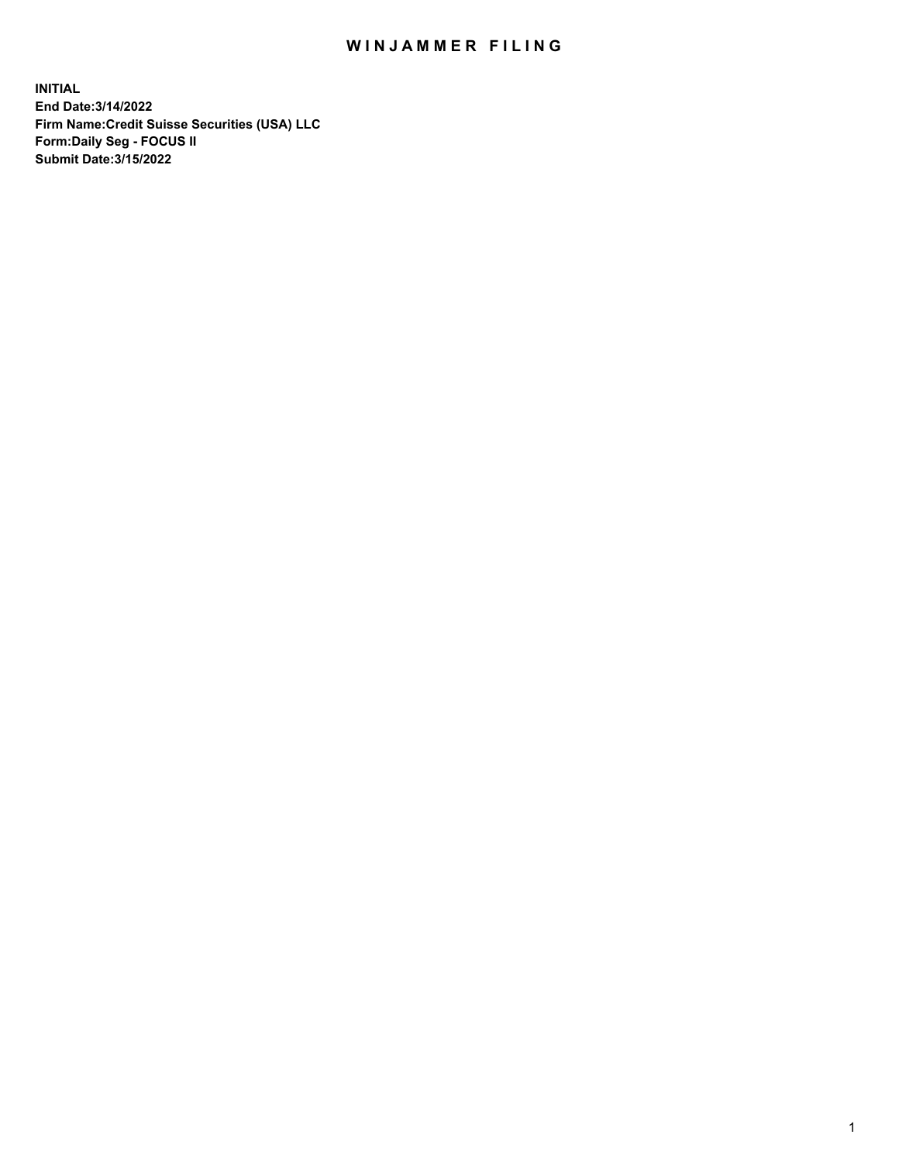## WIN JAMMER FILING

**INITIAL End Date:3/14/2022 Firm Name:Credit Suisse Securities (USA) LLC Form:Daily Seg - FOCUS II Submit Date:3/15/2022**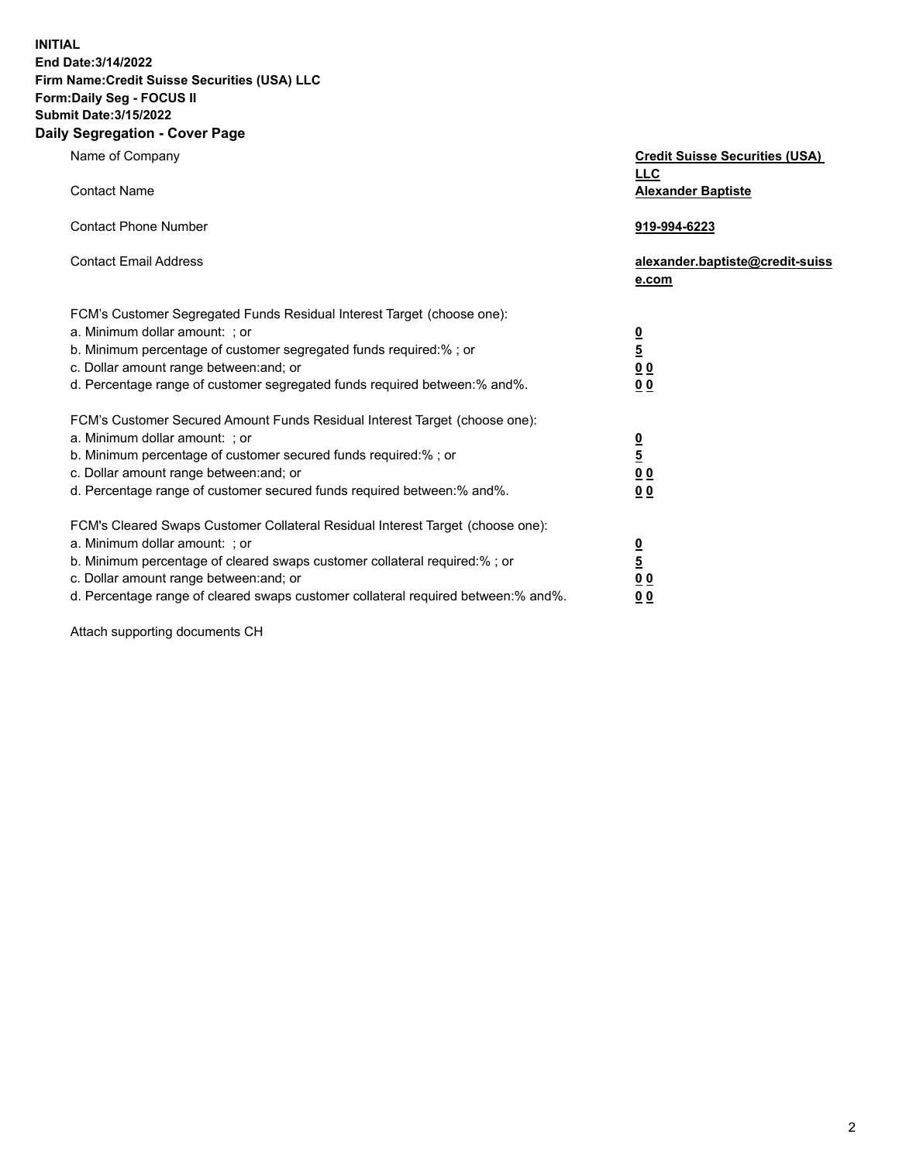**INITIAL End Date:3/14/2022** 

## **Firm Name:Credit Suisse Securities (USA) LLC Form:Daily Seg - FOCUS II Submit Date:3/15/2022**

## **Daily Segregation - Cover Page**

| Name of Company                                                                                                                                                                                                                                                                                                                | <b>Credit Suisse Securities (USA)</b><br><b>LLC</b>                |
|--------------------------------------------------------------------------------------------------------------------------------------------------------------------------------------------------------------------------------------------------------------------------------------------------------------------------------|--------------------------------------------------------------------|
| <b>Contact Name</b>                                                                                                                                                                                                                                                                                                            | <b>Alexander Baptiste</b>                                          |
| <b>Contact Phone Number</b>                                                                                                                                                                                                                                                                                                    | 919-994-6223                                                       |
| <b>Contact Email Address</b>                                                                                                                                                                                                                                                                                                   | alexander.baptiste@credit-suiss<br>e.com                           |
| FCM's Customer Segregated Funds Residual Interest Target (choose one):<br>a. Minimum dollar amount: ; or<br>b. Minimum percentage of customer segregated funds required:% ; or<br>c. Dollar amount range between: and; or<br>d. Percentage range of customer segregated funds required between:% and%.                         | $\frac{0}{5}$<br>$\underline{0}$ $\underline{0}$<br>0 <sub>0</sub> |
| FCM's Customer Secured Amount Funds Residual Interest Target (choose one):<br>a. Minimum dollar amount: ; or<br>b. Minimum percentage of customer secured funds required:% ; or<br>c. Dollar amount range between: and; or<br>d. Percentage range of customer secured funds required between:% and%.                           | $\frac{0}{5}$<br>0 <sub>0</sub><br>0 <sub>0</sub>                  |
| FCM's Cleared Swaps Customer Collateral Residual Interest Target (choose one):<br>a. Minimum dollar amount: ; or<br>b. Minimum percentage of cleared swaps customer collateral required:% ; or<br>c. Dollar amount range between: and; or<br>d. Percentage range of cleared swaps customer collateral required between:% and%. | $\frac{0}{5}$<br>0 <sub>0</sub><br>0 <sub>0</sub>                  |

Attach supporting documents CH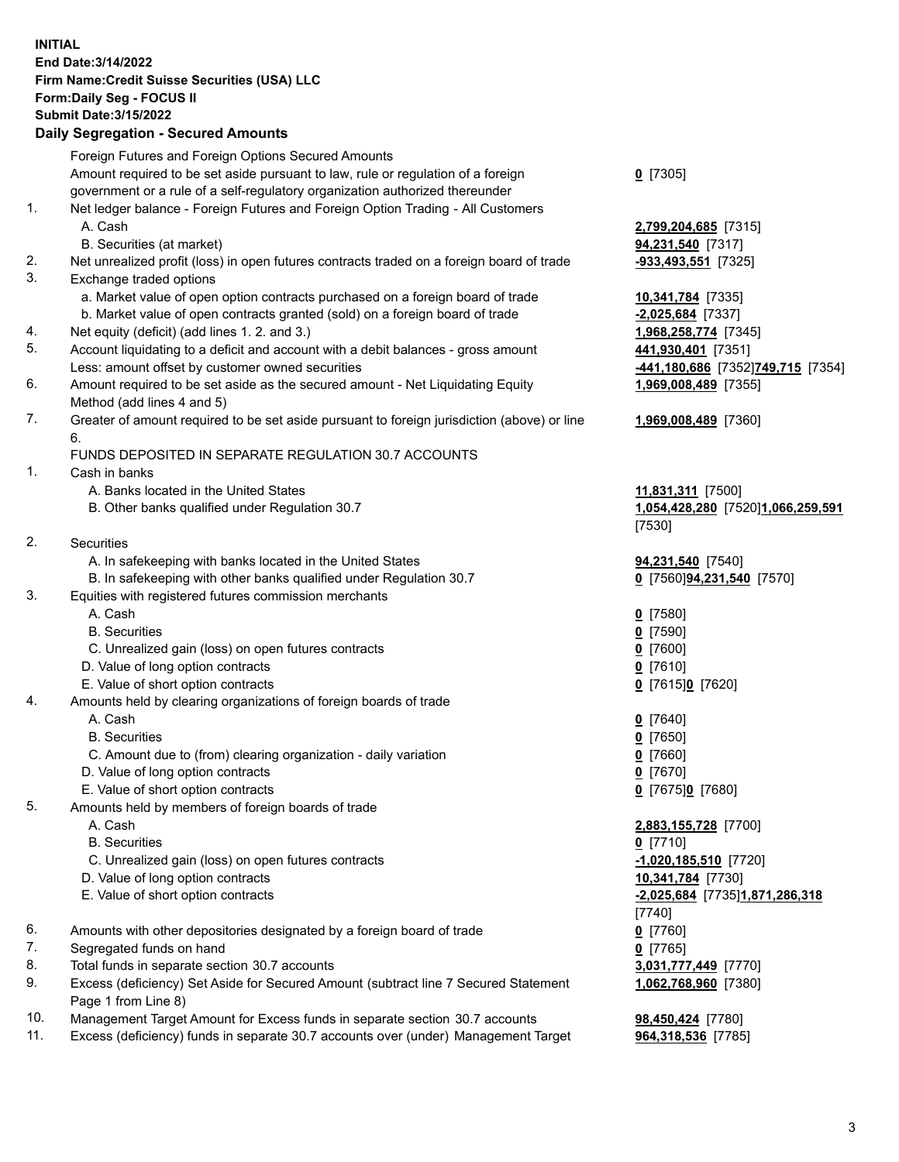**INITIAL End Date:3/14/2022 Firm Name:Credit Suisse Securities (USA) LLC Form:Daily Seg - FOCUS II Submit Date:3/15/2022** 

## **Daily Segregation - Secured Amounts**

|          | Foreign Futures and Foreign Options Secured Amounts                                                                                |                                   |
|----------|------------------------------------------------------------------------------------------------------------------------------------|-----------------------------------|
|          | Amount required to be set aside pursuant to law, rule or regulation of a foreign                                                   | $0$ [7305]                        |
|          | government or a rule of a self-regulatory organization authorized thereunder                                                       |                                   |
| 1.       | Net ledger balance - Foreign Futures and Foreign Option Trading - All Customers                                                    |                                   |
|          | A. Cash                                                                                                                            | 2,799,204,685 [7315]              |
|          | B. Securities (at market)                                                                                                          | 94,231,540 [7317]                 |
| 2.       | Net unrealized profit (loss) in open futures contracts traded on a foreign board of trade                                          | -933,493,551 [7325]               |
| 3.       | Exchange traded options                                                                                                            |                                   |
|          | a. Market value of open option contracts purchased on a foreign board of trade                                                     | 10,341,784 [7335]                 |
|          | b. Market value of open contracts granted (sold) on a foreign board of trade                                                       | $-2,025,684$ [7337]               |
| 4.<br>5. | Net equity (deficit) (add lines 1. 2. and 3.)                                                                                      | 1,968,258,774 [7345]              |
|          | Account liquidating to a deficit and account with a debit balances - gross amount                                                  | 441,930,401 [7351]                |
| 6.       | Less: amount offset by customer owned securities<br>Amount required to be set aside as the secured amount - Net Liquidating Equity | -441,180,686 [7352]749,715 [7354] |
|          | Method (add lines 4 and 5)                                                                                                         | 1,969,008,489 [7355]              |
| 7.       | Greater of amount required to be set aside pursuant to foreign jurisdiction (above) or line                                        | 1,969,008,489 [7360]              |
|          | 6.                                                                                                                                 |                                   |
|          | FUNDS DEPOSITED IN SEPARATE REGULATION 30.7 ACCOUNTS                                                                               |                                   |
| 1.       | Cash in banks                                                                                                                      |                                   |
|          | A. Banks located in the United States                                                                                              | 11,831,311 [7500]                 |
|          | B. Other banks qualified under Regulation 30.7                                                                                     | 1,054,428,280 [7520]1,066,259,591 |
|          |                                                                                                                                    | [7530]                            |
| 2.       | Securities                                                                                                                         |                                   |
|          | A. In safekeeping with banks located in the United States                                                                          | 94,231,540 [7540]                 |
|          | B. In safekeeping with other banks qualified under Regulation 30.7                                                                 | 0 [7560]94,231,540 [7570]         |
| 3.       | Equities with registered futures commission merchants                                                                              |                                   |
|          | A. Cash                                                                                                                            | $0$ [7580]                        |
|          | <b>B.</b> Securities                                                                                                               | $0$ [7590]                        |
|          | C. Unrealized gain (loss) on open futures contracts                                                                                | $0$ [7600]                        |
|          | D. Value of long option contracts                                                                                                  | $0$ [7610]                        |
|          | E. Value of short option contracts                                                                                                 | 0 [7615]0 [7620]                  |
| 4.       | Amounts held by clearing organizations of foreign boards of trade                                                                  |                                   |
|          | A. Cash                                                                                                                            | $0$ [7640]                        |
|          | <b>B.</b> Securities                                                                                                               | 0 [7650]                          |
|          | C. Amount due to (from) clearing organization - daily variation                                                                    | $0$ [7660]                        |
|          | D. Value of long option contracts                                                                                                  | $0$ [7670]                        |
| 5.       | E. Value of short option contracts<br>Amounts held by members of foreign boards of trade                                           | 0 [7675]0 [7680]                  |
|          | A. Cash                                                                                                                            | 2,883,155,728 [7700]              |
|          | <b>B.</b> Securities                                                                                                               | $0$ [7710]                        |
|          | C. Unrealized gain (loss) on open futures contracts                                                                                | $-1,020,185,510$ [7720]           |
|          | D. Value of long option contracts                                                                                                  | 10,341,784 [7730]                 |
|          | E. Value of short option contracts                                                                                                 | -2,025,684 [7735]1,871,286,318    |
|          |                                                                                                                                    | [7740]                            |
| 6.       | Amounts with other depositories designated by a foreign board of trade                                                             | $0$ [7760]                        |
| 7.       | Segregated funds on hand                                                                                                           | $0$ [7765]                        |
| 8.       | Total funds in separate section 30.7 accounts                                                                                      | 3,031,777,449 [7770]              |
| 9.       | Excess (deficiency) Set Aside for Secured Amount (subtract line 7 Secured Statement                                                | 1,062,768,960 [7380]              |
|          | Page 1 from Line 8)                                                                                                                |                                   |
| 10.      | Management Target Amount for Excess funds in separate section 30.7 accounts                                                        | 98,450,424 [7780]                 |

11. Excess (deficiency) funds in separate 30.7 accounts over (under) Management Target **964,318,536** [7785]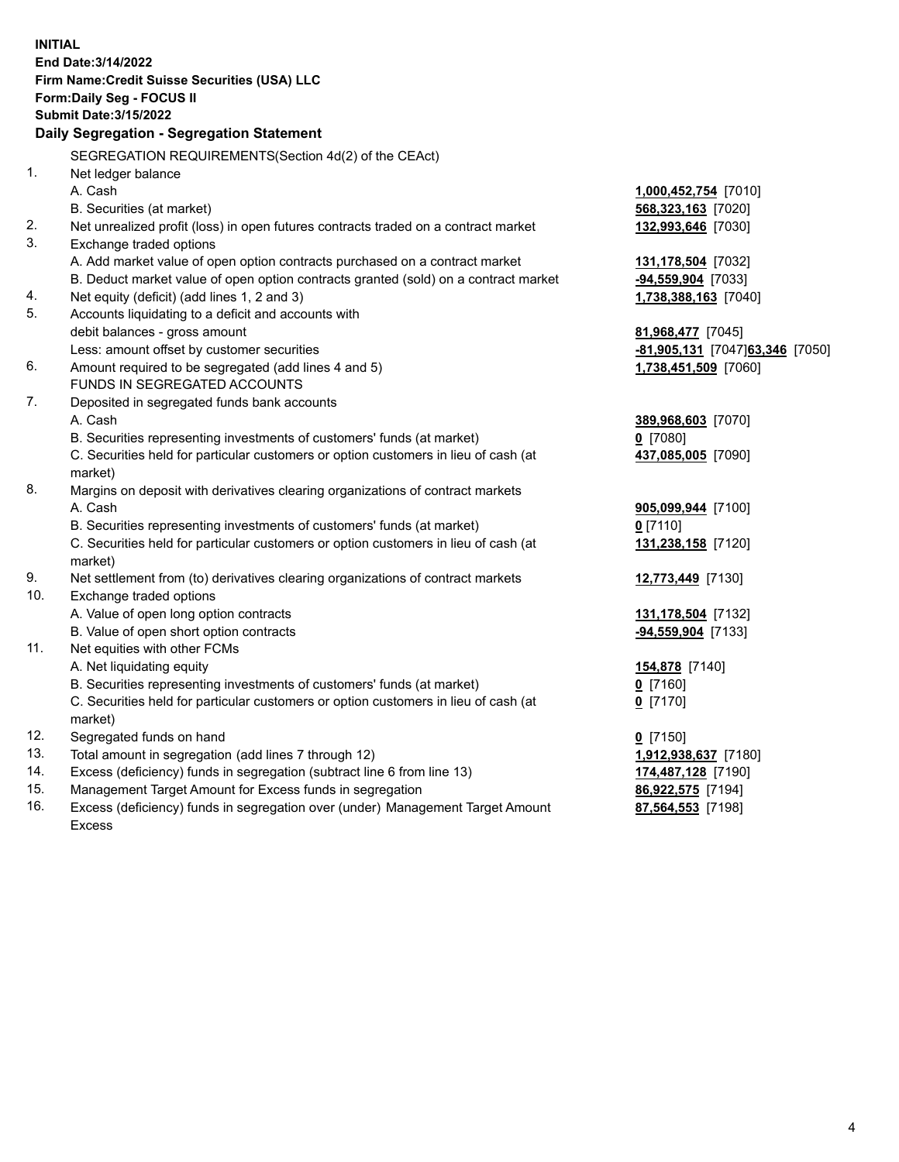15. Management Target Amount for Excess funds in segregation **86,922,575** [7194] 16. Excess (deficiency) funds in segregation over (under) Management Target Amount **87,564,553** [7198] **INITIAL End Date:3/14/2022 Firm Name:Credit Suisse Securities (USA) LLC Form:Daily Seg - FOCUS II Submit Date:3/15/2022 Daily Segregation - Segregation Statement**  SEGREGATION REQUIREMENTS(Section 4d(2) of the CEAct) 1. Net ledger balance A. Cash **1,000,452,754** [7010] B. Securities (at market) **568,323,163** [7020] 2. Net unrealized profit (loss) in open futures contracts traded on a contract market **132,993,646** [7030] 3. Exchange traded options A. Add market value of open option contracts purchased on a contract market **131,178,504** [7032] B. Deduct market value of open option contracts granted (sold) on a contract market **-94,559,904** [7033] 4. Net equity (deficit) (add lines 1, 2 and 3) **1,738,388,163** [7040] 5. Accounts liquidating to a deficit and accounts with debit balances - gross amount **81,968,477** [7045] Less: amount offset by customer securities **-81,905,131** [7047] **63,346** [7050] 6. Amount required to be segregated (add lines 4 and 5) **1,738,451,509** [7060] FUNDS IN SEGREGATED ACCOUNTS 7. Deposited in segregated funds bank accounts A. Cash **389,968,603** [7070] B. Securities representing investments of customers' funds (at market) **0** [7080] C. Securities held for particular customers or option customers in lieu of cash (at **437,085,005** [7090] market) 8. Margins on deposit with derivatives clearing organizations of contract markets A. Cash **905,099,944** [7100] B. Securities representing investments of customers' funds (at market) **0** [7110] C. Securities held for particular customers or option customers in lieu of cash (at **131,238,158** [7120] market) 9. Net settlement from (to) derivatives clearing organizations of contract markets **12,773,449** [7130] 10. Exchange traded options A. Value of open long option contracts **131,178,504** [7132] B. Value of open short option contracts **-94,559,904** [7133] 11. Net equities with other FCMs A. Net liquidating equity **154,878** [7140] B. Securities representing investments of customers' funds (at market) **0** [7160] C. Securities held for particular customers or option customers in lieu of cash (at **0** [7170] market) 12. Segregated funds on hand **0** [7150] 13. Total amount in segregation (add lines 7 through 12) **1,912,938,637** [7180] 14. Excess (deficiency) funds in segregation (subtract line 6 from line 13) **174,487,128** [7190] Excess